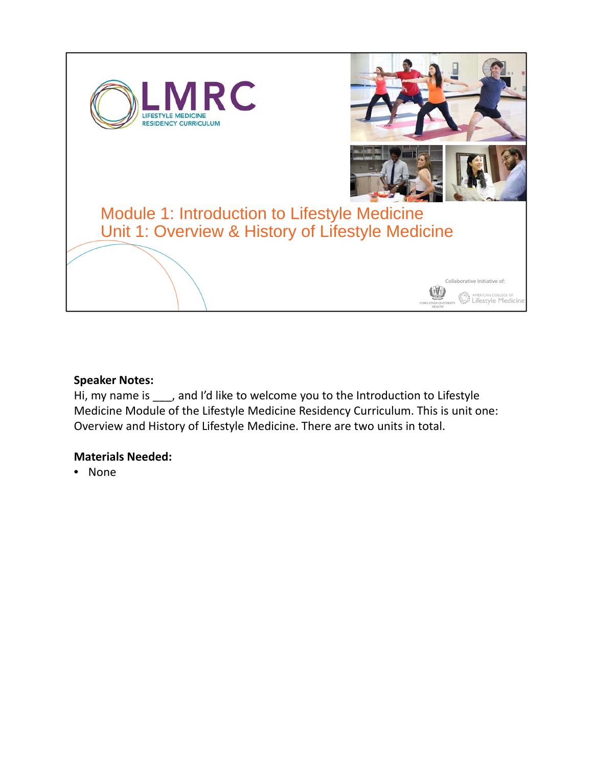



Collaborative Initiative of:

# Module 1: Introduction to Lifestyle Medicine Unit 1: Overview & History of Lifestyle Medicine

## **Speaker Notes:**

Hi, my name is \_\_\_, and I'd like to welcome you to the Introduction to Lifestyle Medicine Module of the Lifestyle Medicine Residency Curriculum. This is unit one: Overview and History of Lifestyle Medicine. There are two units in total.

### **Materials Needed:**

• None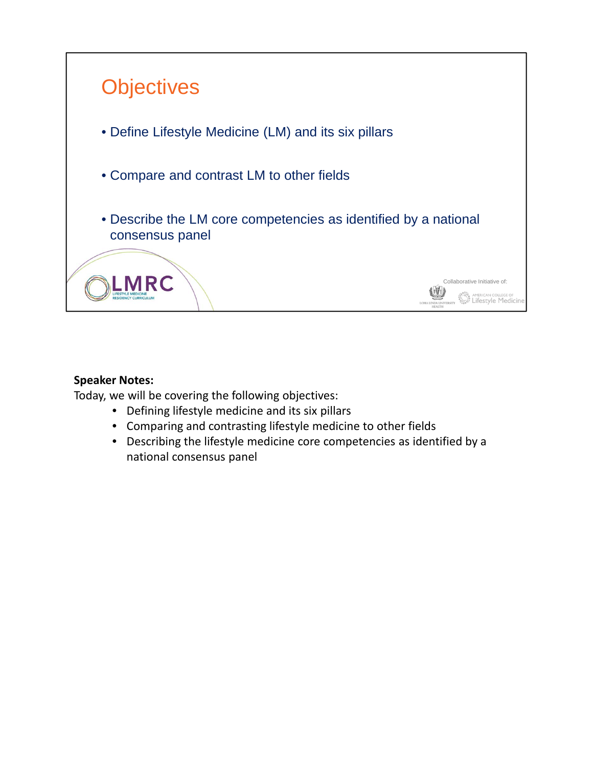

Today, we will be covering the following objectives:

- Defining lifestyle medicine and its six pillars
- Comparing and contrasting lifestyle medicine to other fields
- Describing the lifestyle medicine core competencies as identified by a national consensus panel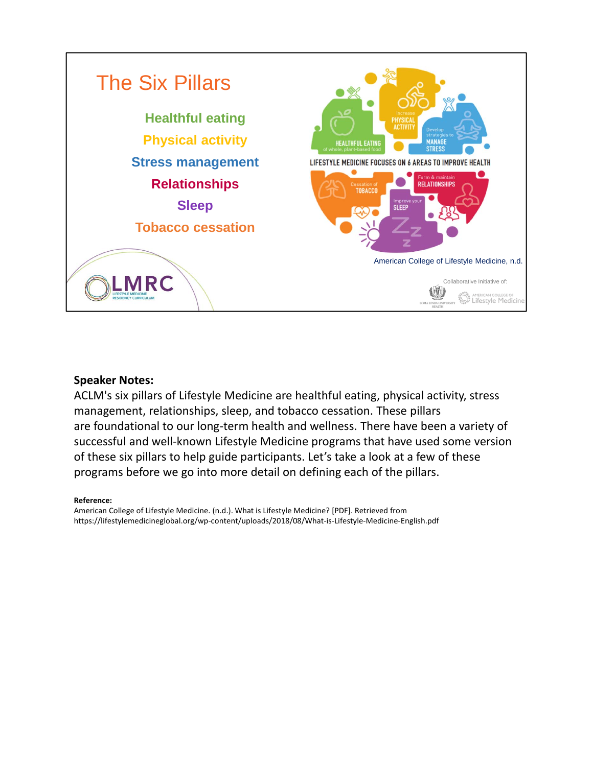

ACLM's six pillars of Lifestyle Medicine are healthful eating, physical activity, stress management, relationships, sleep, and tobacco cessation. These pillars are foundational to our long‐term health and wellness. There have been a variety of successful and well-known Lifestyle Medicine programs that have used some version of these six pillars to help guide participants. Let's take a look at a few of these programs before we go into more detail on defining each of the pillars.

### **Reference:**

American College of Lifestyle Medicine. (n.d.). What is Lifestyle Medicine? [PDF]. Retrieved from https://lifestylemedicineglobal.org/wp‐content/uploads/2018/08/What‐is‐Lifestyle‐Medicine‐English.pdf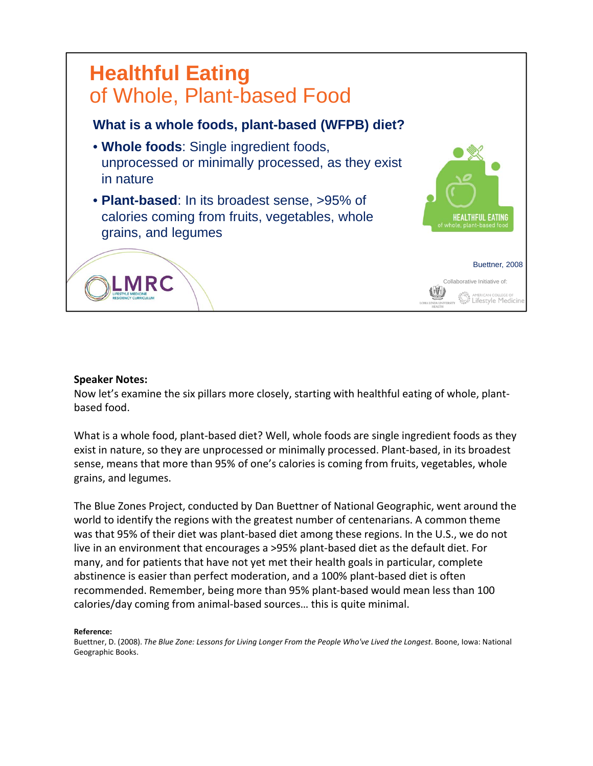

Now let's examine the six pillars more closely, starting with healthful eating of whole, plant‐ based food.

What is a whole food, plant-based diet? Well, whole foods are single ingredient foods as they exist in nature, so they are unprocessed or minimally processed. Plant‐based, in its broadest sense, means that more than 95% of one's calories is coming from fruits, vegetables, whole grains, and legumes.

The Blue Zones Project, conducted by Dan Buettner of National Geographic, went around the world to identify the regions with the greatest number of centenarians. A common theme was that 95% of their diet was plant-based diet among these regions. In the U.S., we do not live in an environment that encourages a >95% plant‐based diet as the default diet. For many, and for patients that have not yet met their health goals in particular, complete abstinence is easier than perfect moderation, and a 100% plant‐based diet is often recommended. Remember, being more than 95% plant‐based would mean less than 100 calories/day coming from animal‐based sources… this is quite minimal.

#### **Reference:**

Buettner, D. (2008). *The Blue Zone: Lessons for Living Longer From the People Who've Lived the Longest*. Boone, Iowa: National Geographic Books.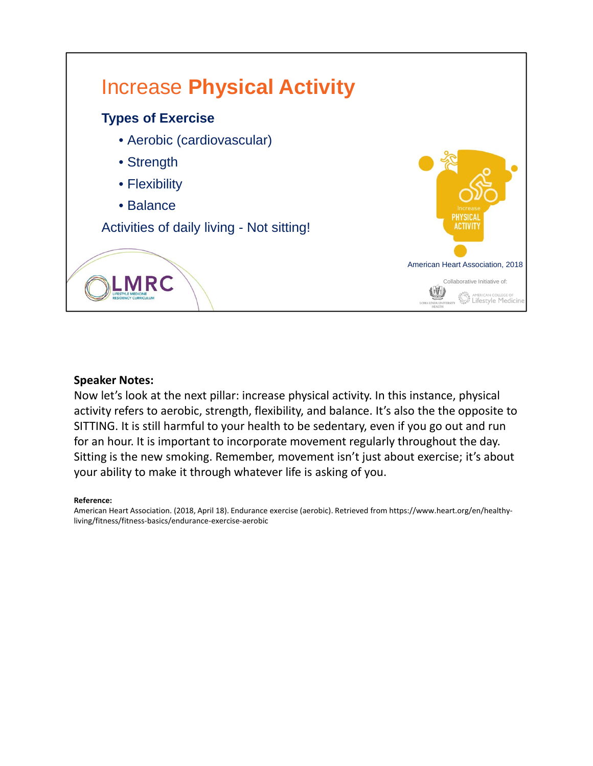

Now let's look at the next pillar: increase physical activity. In this instance, physical activity refers to aerobic, strength, flexibility, and balance. It's also the the opposite to SITTING. It is still harmful to your health to be sedentary, even if you go out and run for an hour. It is important to incorporate movement regularly throughout the day. Sitting is the new smoking. Remember, movement isn't just about exercise; it's about your ability to make it through whatever life is asking of you.

### **Reference:**

American Heart Association. (2018, April 18). Endurance exercise (aerobic). Retrieved from https://www.heart.org/en/healthy‐ living/fitness/fitness‐basics/endurance‐exercise‐aerobic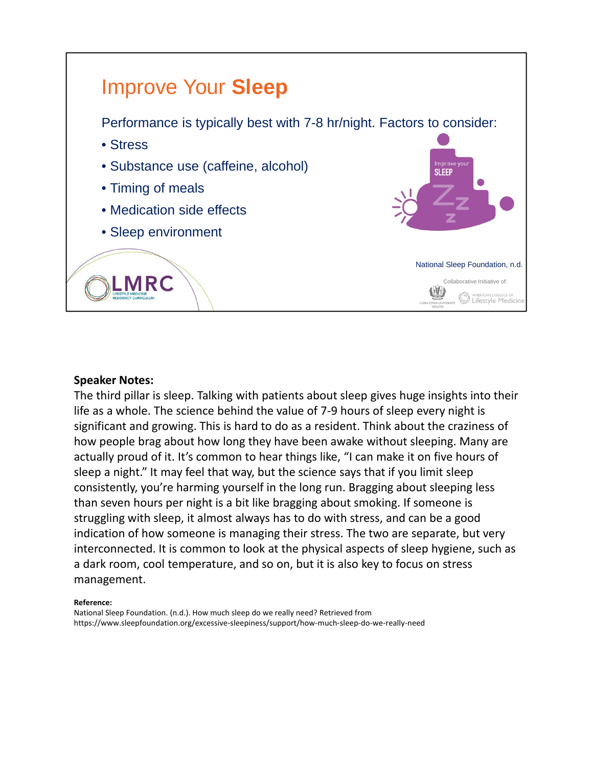

The third pillar is sleep. Talking with patients about sleep gives huge insights into their life as a whole. The science behind the value of 7‐9 hours of sleep every night is significant and growing. This is hard to do as a resident. Think about the craziness of how people brag about how long they have been awake without sleeping. Many are actually proud of it. It's common to hear things like, "I can make it on five hours of sleep a night." It may feel that way, but the science says that if you limit sleep consistently, you're harming yourself in the long run. Bragging about sleeping less than seven hours per night is a bit like bragging about smoking. If someone is struggling with sleep, it almost always has to do with stress, and can be a good indication of how someone is managing their stress. The two are separate, but very interconnected. It is common to look at the physical aspects of sleep hygiene, such as a dark room, cool temperature, and so on, but it is also key to focus on stress management.

#### **Reference:**

National Sleep Foundation. (n.d.). How much sleep do we really need? Retrieved from https://www.sleepfoundation.org/excessive‐sleepiness/support/how‐much‐sleep‐do‐we‐really‐need